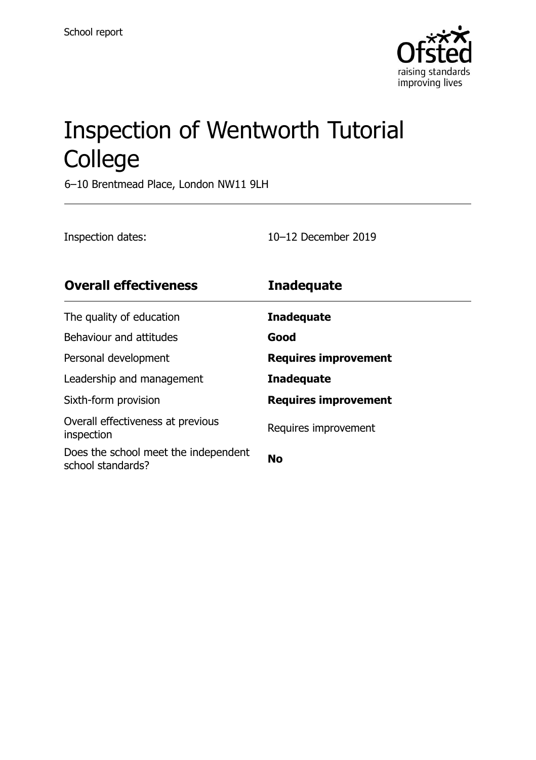

# Inspection of Wentworth Tutorial College

6–10 Brentmead Place, London NW11 9LH

Inspection dates: 10–12 December 2019

| <b>Overall effectiveness</b>                              | <b>Inadequate</b>           |
|-----------------------------------------------------------|-----------------------------|
| The quality of education                                  | <b>Inadequate</b>           |
| Behaviour and attitudes                                   | Good                        |
| Personal development                                      | <b>Requires improvement</b> |
| Leadership and management                                 | <b>Inadequate</b>           |
| Sixth-form provision                                      | <b>Requires improvement</b> |
| Overall effectiveness at previous<br>inspection           | Requires improvement        |
| Does the school meet the independent<br>school standards? | <b>No</b>                   |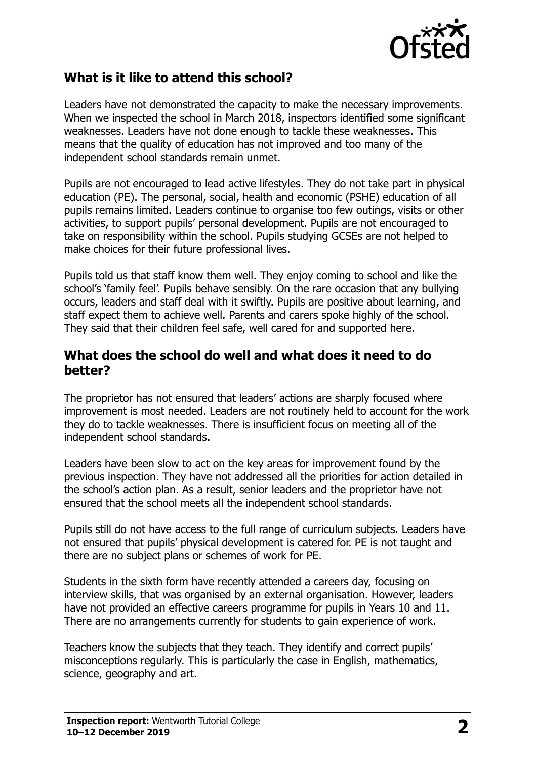

# **What is it like to attend this school?**

Leaders have not demonstrated the capacity to make the necessary improvements. When we inspected the school in March 2018, inspectors identified some significant weaknesses. Leaders have not done enough to tackle these weaknesses. This means that the quality of education has not improved and too many of the independent school standards remain unmet.

Pupils are not encouraged to lead active lifestyles. They do not take part in physical education (PE). The personal, social, health and economic (PSHE) education of all pupils remains limited. Leaders continue to organise too few outings, visits or other activities, to support pupils' personal development. Pupils are not encouraged to take on responsibility within the school. Pupils studying GCSEs are not helped to make choices for their future professional lives.

Pupils told us that staff know them well. They enjoy coming to school and like the school's 'family feel'. Pupils behave sensibly. On the rare occasion that any bullying occurs, leaders and staff deal with it swiftly. Pupils are positive about learning, and staff expect them to achieve well. Parents and carers spoke highly of the school. They said that their children feel safe, well cared for and supported here.

## **What does the school do well and what does it need to do better?**

The proprietor has not ensured that leaders' actions are sharply focused where improvement is most needed. Leaders are not routinely held to account for the work they do to tackle weaknesses. There is insufficient focus on meeting all of the independent school standards.

Leaders have been slow to act on the key areas for improvement found by the previous inspection. They have not addressed all the priorities for action detailed in the school's action plan. As a result, senior leaders and the proprietor have not ensured that the school meets all the independent school standards.

Pupils still do not have access to the full range of curriculum subjects. Leaders have not ensured that pupils' physical development is catered for. PE is not taught and there are no subject plans or schemes of work for PE.

Students in the sixth form have recently attended a careers day, focusing on interview skills, that was organised by an external organisation. However, leaders have not provided an effective careers programme for pupils in Years 10 and 11. There are no arrangements currently for students to gain experience of work.

Teachers know the subjects that they teach. They identify and correct pupils' misconceptions regularly. This is particularly the case in English, mathematics, science, geography and art.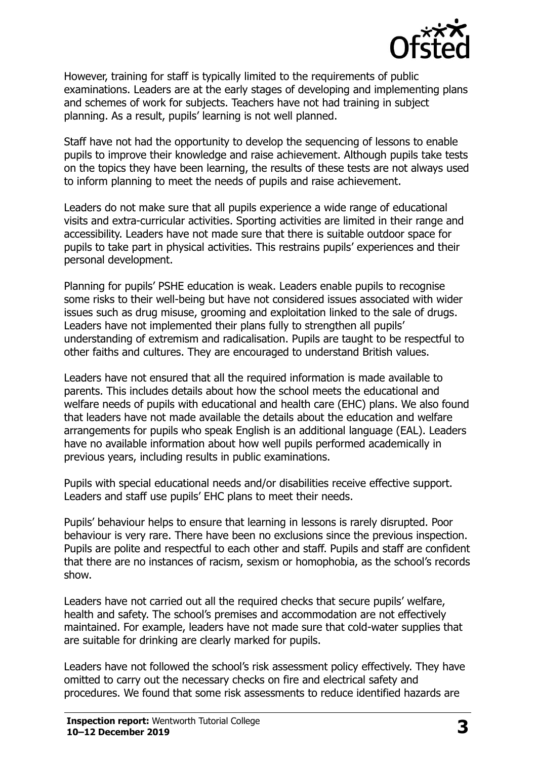

However, training for staff is typically limited to the requirements of public examinations. Leaders are at the early stages of developing and implementing plans and schemes of work for subjects. Teachers have not had training in subject planning. As a result, pupils' learning is not well planned.

Staff have not had the opportunity to develop the sequencing of lessons to enable pupils to improve their knowledge and raise achievement. Although pupils take tests on the topics they have been learning, the results of these tests are not always used to inform planning to meet the needs of pupils and raise achievement.

Leaders do not make sure that all pupils experience a wide range of educational visits and extra-curricular activities. Sporting activities are limited in their range and accessibility. Leaders have not made sure that there is suitable outdoor space for pupils to take part in physical activities. This restrains pupils' experiences and their personal development.

Planning for pupils' PSHE education is weak. Leaders enable pupils to recognise some risks to their well-being but have not considered issues associated with wider issues such as drug misuse, grooming and exploitation linked to the sale of drugs. Leaders have not implemented their plans fully to strengthen all pupils' understanding of extremism and radicalisation. Pupils are taught to be respectful to other faiths and cultures. They are encouraged to understand British values.

Leaders have not ensured that all the required information is made available to parents. This includes details about how the school meets the educational and welfare needs of pupils with educational and health care (EHC) plans. We also found that leaders have not made available the details about the education and welfare arrangements for pupils who speak English is an additional language (EAL). Leaders have no available information about how well pupils performed academically in previous years, including results in public examinations.

Pupils with special educational needs and/or disabilities receive effective support. Leaders and staff use pupils' EHC plans to meet their needs.

Pupils' behaviour helps to ensure that learning in lessons is rarely disrupted. Poor behaviour is very rare. There have been no exclusions since the previous inspection. Pupils are polite and respectful to each other and staff. Pupils and staff are confident that there are no instances of racism, sexism or homophobia, as the school's records show.

Leaders have not carried out all the required checks that secure pupils' welfare, health and safety. The school's premises and accommodation are not effectively maintained. For example, leaders have not made sure that cold-water supplies that are suitable for drinking are clearly marked for pupils.

Leaders have not followed the school's risk assessment policy effectively. They have omitted to carry out the necessary checks on fire and electrical safety and procedures. We found that some risk assessments to reduce identified hazards are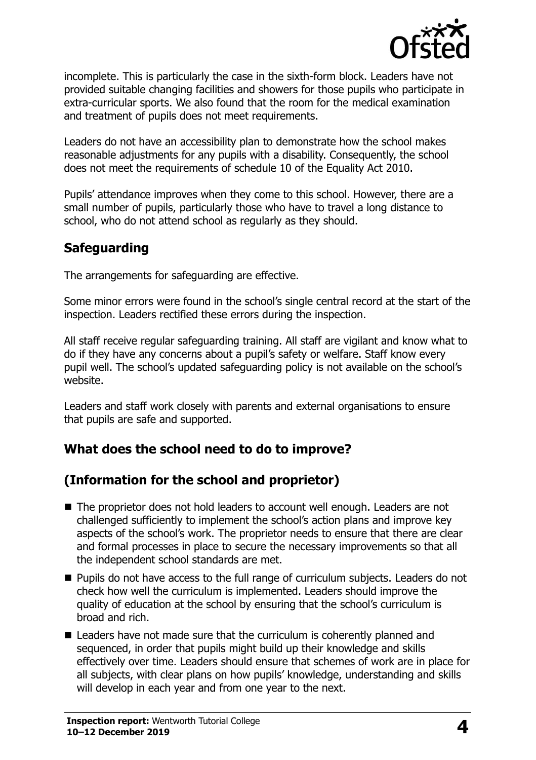

incomplete. This is particularly the case in the sixth-form block. Leaders have not provided suitable changing facilities and showers for those pupils who participate in extra-curricular sports. We also found that the room for the medical examination and treatment of pupils does not meet requirements.

Leaders do not have an accessibility plan to demonstrate how the school makes reasonable adjustments for any pupils with a disability. Consequently, the school does not meet the requirements of schedule 10 of the Equality Act 2010.

Pupils' attendance improves when they come to this school. However, there are a small number of pupils, particularly those who have to travel a long distance to school, who do not attend school as regularly as they should.

# **Safeguarding**

The arrangements for safeguarding are effective.

Some minor errors were found in the school's single central record at the start of the inspection. Leaders rectified these errors during the inspection.

All staff receive regular safeguarding training. All staff are vigilant and know what to do if they have any concerns about a pupil's safety or welfare. Staff know every pupil well. The school's updated safeguarding policy is not available on the school's website.

Leaders and staff work closely with parents and external organisations to ensure that pupils are safe and supported.

# **What does the school need to do to improve?**

# **(Information for the school and proprietor)**

- The proprietor does not hold leaders to account well enough. Leaders are not challenged sufficiently to implement the school's action plans and improve key aspects of the school's work. The proprietor needs to ensure that there are clear and formal processes in place to secure the necessary improvements so that all the independent school standards are met.
- Pupils do not have access to the full range of curriculum subjects. Leaders do not check how well the curriculum is implemented. Leaders should improve the quality of education at the school by ensuring that the school's curriculum is broad and rich.
- Leaders have not made sure that the curriculum is coherently planned and sequenced, in order that pupils might build up their knowledge and skills effectively over time. Leaders should ensure that schemes of work are in place for all subjects, with clear plans on how pupils' knowledge, understanding and skills will develop in each year and from one year to the next.

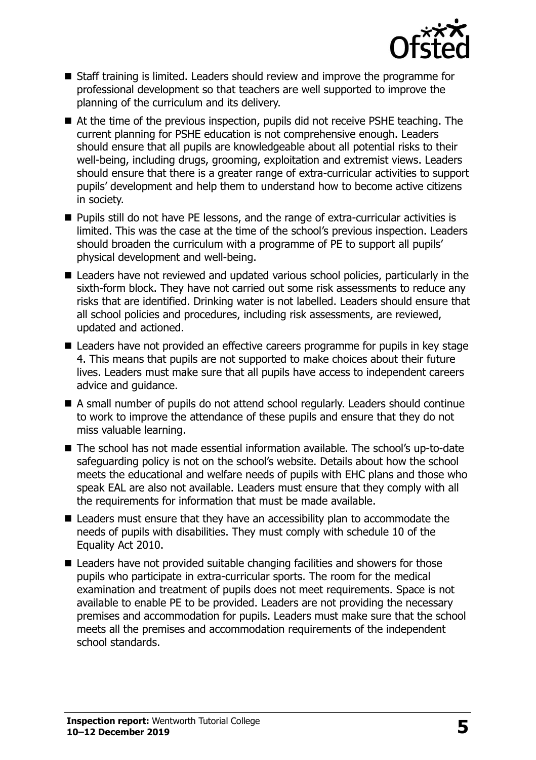

- Staff training is limited. Leaders should review and improve the programme for professional development so that teachers are well supported to improve the planning of the curriculum and its delivery.
- At the time of the previous inspection, pupils did not receive PSHE teaching. The current planning for PSHE education is not comprehensive enough. Leaders should ensure that all pupils are knowledgeable about all potential risks to their well-being, including drugs, grooming, exploitation and extremist views. Leaders should ensure that there is a greater range of extra-curricular activities to support pupils' development and help them to understand how to become active citizens in society.
- Pupils still do not have PE lessons, and the range of extra-curricular activities is limited. This was the case at the time of the school's previous inspection. Leaders should broaden the curriculum with a programme of PE to support all pupils' physical development and well-being.
- Leaders have not reviewed and updated various school policies, particularly in the sixth-form block. They have not carried out some risk assessments to reduce any risks that are identified. Drinking water is not labelled. Leaders should ensure that all school policies and procedures, including risk assessments, are reviewed, updated and actioned.
- Leaders have not provided an effective careers programme for pupils in key stage 4. This means that pupils are not supported to make choices about their future lives. Leaders must make sure that all pupils have access to independent careers advice and guidance.
- A small number of pupils do not attend school regularly. Leaders should continue to work to improve the attendance of these pupils and ensure that they do not miss valuable learning.
- The school has not made essential information available. The school's up-to-date safeguarding policy is not on the school's website. Details about how the school meets the educational and welfare needs of pupils with EHC plans and those who speak EAL are also not available. Leaders must ensure that they comply with all the requirements for information that must be made available.
- Leaders must ensure that they have an accessibility plan to accommodate the needs of pupils with disabilities. They must comply with schedule 10 of the Equality Act 2010.
- Leaders have not provided suitable changing facilities and showers for those pupils who participate in extra-curricular sports. The room for the medical examination and treatment of pupils does not meet requirements. Space is not available to enable PE to be provided. Leaders are not providing the necessary premises and accommodation for pupils. Leaders must make sure that the school meets all the premises and accommodation requirements of the independent school standards.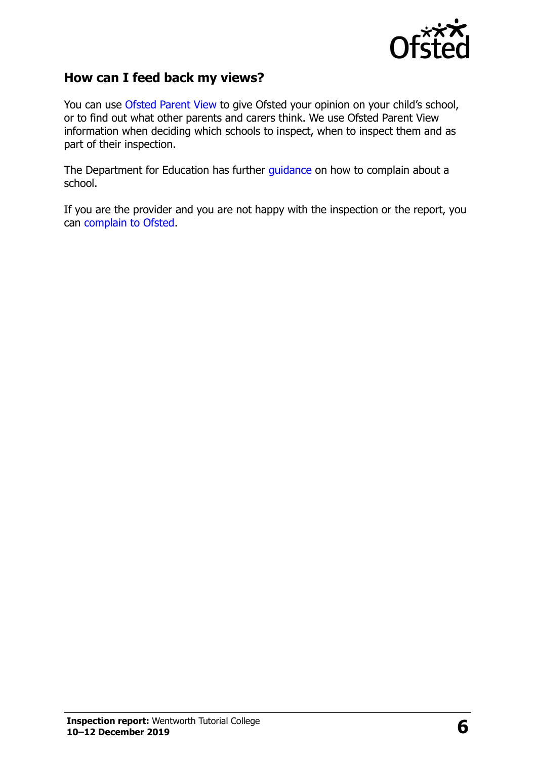

## **How can I feed back my views?**

You can use [Ofsted Parent View](http://parentview.ofsted.gov.uk/) to give Ofsted your opinion on your child's school, or to find out what other parents and carers think. We use Ofsted Parent View information when deciding which schools to inspect, when to inspect them and as part of their inspection.

The Department for Education has further [guidance](http://www.gov.uk/complain-about-school) on how to complain about a school.

If you are the provider and you are not happy with the inspection or the report, you can [complain to Ofsted.](http://www.gov.uk/complain-ofsted-report)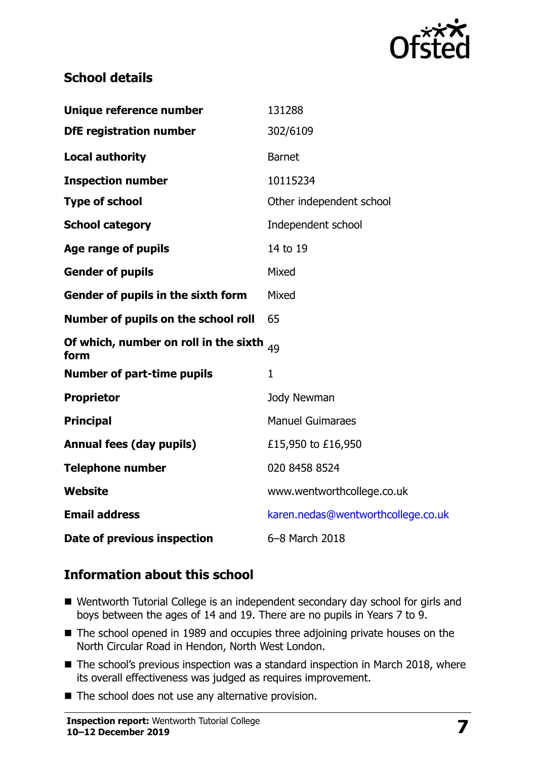

# **School details**

| Unique reference number                       | 131288                             |
|-----------------------------------------------|------------------------------------|
| <b>DfE registration number</b>                | 302/6109                           |
| <b>Local authority</b>                        | <b>Barnet</b>                      |
| <b>Inspection number</b>                      | 10115234                           |
| <b>Type of school</b>                         | Other independent school           |
| <b>School category</b>                        | Independent school                 |
| <b>Age range of pupils</b>                    | 14 to 19                           |
| <b>Gender of pupils</b>                       | Mixed                              |
| Gender of pupils in the sixth form            | Mixed                              |
| Number of pupils on the school roll           | 65                                 |
| Of which, number on roll in the sixth<br>form | 49                                 |
| <b>Number of part-time pupils</b>             | $\mathbf{1}$                       |
| <b>Proprietor</b>                             | Jody Newman                        |
| <b>Principal</b>                              | <b>Manuel Guimaraes</b>            |
| <b>Annual fees (day pupils)</b>               | £15,950 to £16,950                 |
| <b>Telephone number</b>                       | 020 8458 8524                      |
| Website                                       | www.wentworthcollege.co.uk         |
| <b>Email address</b>                          | karen.nedas@wentworthcollege.co.uk |
| Date of previous inspection                   | 6-8 March 2018                     |

# **Information about this school**

- Wentworth Tutorial College is an independent secondary day school for girls and boys between the ages of 14 and 19. There are no pupils in Years 7 to 9.
- The school opened in 1989 and occupies three adjoining private houses on the North Circular Road in Hendon, North West London.
- The school's previous inspection was a standard inspection in March 2018, where its overall effectiveness was judged as requires improvement.
- The school does not use any alternative provision.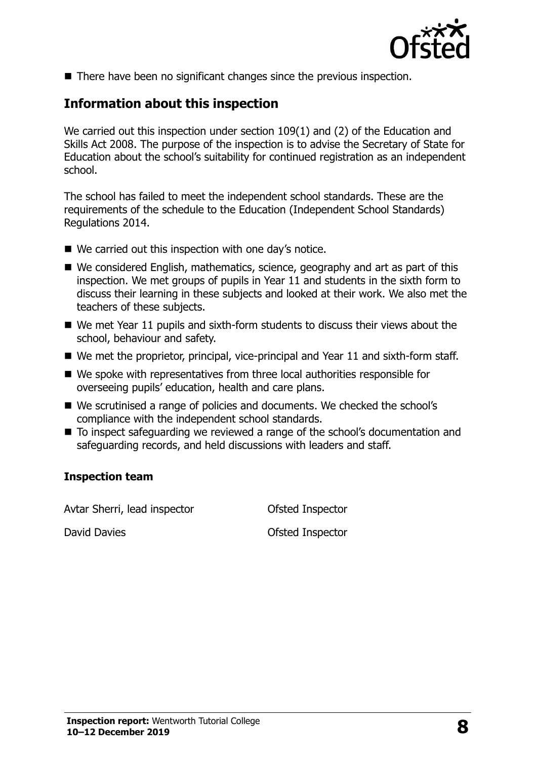

■ There have been no significant changes since the previous inspection.

# **Information about this inspection**

We carried out this inspection under section 109(1) and (2) of the Education and Skills Act 2008. The purpose of the inspection is to advise the Secretary of State for Education about the school's suitability for continued registration as an independent school.

The school has failed to meet the independent school standards. These are the requirements of the schedule to the Education (Independent School Standards) Regulations 2014.

- We carried out this inspection with one day's notice.
- We considered English, mathematics, science, geography and art as part of this inspection. We met groups of pupils in Year 11 and students in the sixth form to discuss their learning in these subjects and looked at their work. We also met the teachers of these subjects.
- We met Year 11 pupils and sixth-form students to discuss their views about the school, behaviour and safety.
- We met the proprietor, principal, vice-principal and Year 11 and sixth-form staff.
- We spoke with representatives from three local authorities responsible for overseeing pupils' education, health and care plans.
- We scrutinised a range of policies and documents. We checked the school's compliance with the independent school standards.
- To inspect safeguarding we reviewed a range of the school's documentation and safeguarding records, and held discussions with leaders and staff.

#### **Inspection team**

Avtar Sherri, lead inspector **Conservation** Ofsted Inspector

David Davies **David Davies Contract Contract David Davies Ofsted Inspector**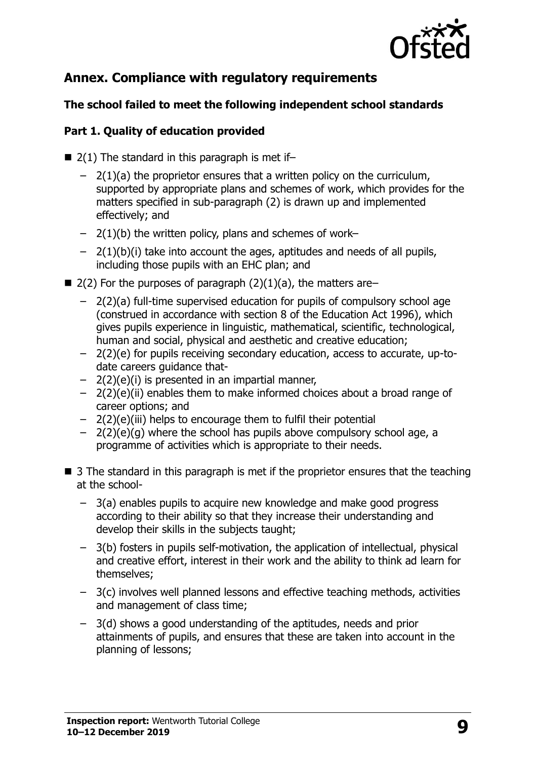

# **Annex. Compliance with regulatory requirements**

## **The school failed to meet the following independent school standards**

## **Part 1. Quality of education provided**

- $\blacksquare$  2(1) The standard in this paragraph is met if-
	- $-$  2(1)(a) the proprietor ensures that a written policy on the curriculum, supported by appropriate plans and schemes of work, which provides for the matters specified in sub-paragraph (2) is drawn up and implemented effectively; and
	- $-$  2(1)(b) the written policy, plans and schemes of work–
	- $-$  2(1)(b)(i) take into account the ages, aptitudes and needs of all pupils, including those pupils with an EHC plan; and
- $\blacksquare$  2(2) For the purposes of paragraph (2)(1)(a), the matters are–
	- 2(2)(a) full-time supervised education for pupils of compulsory school age (construed in accordance with section 8 of the Education Act 1996), which gives pupils experience in linguistic, mathematical, scientific, technological, human and social, physical and aesthetic and creative education;
	- 2(2)(e) for pupils receiving secondary education, access to accurate, up-todate careers guidance that-
	- 2(2)(e)(i) is presented in an impartial manner,
	- 2(2)(e)(ii) enables them to make informed choices about a broad range of career options; and
	- 2(2)(e)(iii) helps to encourage them to fulfil their potential
	- $-$  2(2)(e)(g) where the school has pupils above compulsory school age, a programme of activities which is appropriate to their needs.
- $\blacksquare$  3 The standard in this paragraph is met if the proprietor ensures that the teaching at the school-
	- 3(a) enables pupils to acquire new knowledge and make good progress according to their ability so that they increase their understanding and develop their skills in the subjects taught;
	- 3(b) fosters in pupils self-motivation, the application of intellectual, physical and creative effort, interest in their work and the ability to think ad learn for themselves;
	- 3(c) involves well planned lessons and effective teaching methods, activities and management of class time;
	- 3(d) shows a good understanding of the aptitudes, needs and prior attainments of pupils, and ensures that these are taken into account in the planning of lessons;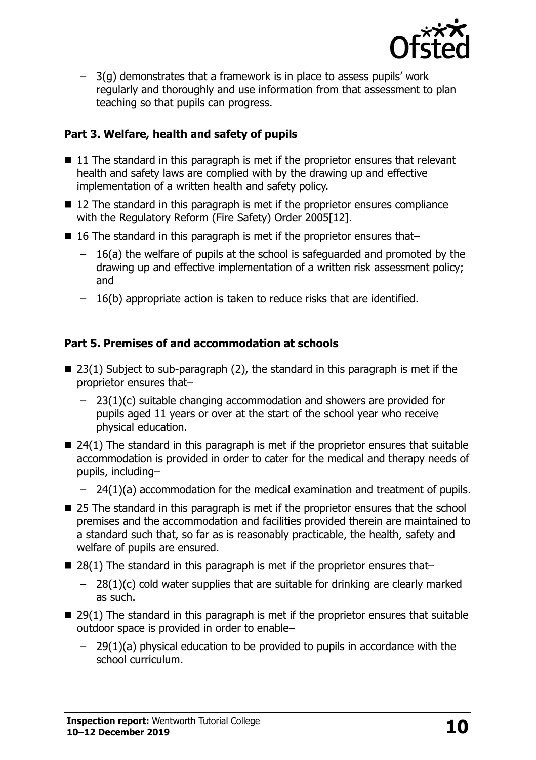

– 3(g) demonstrates that a framework is in place to assess pupils' work regularly and thoroughly and use information from that assessment to plan teaching so that pupils can progress.

## **Part 3. Welfare, health and safety of pupils**

- 11 The standard in this paragraph is met if the proprietor ensures that relevant health and safety laws are complied with by the drawing up and effective implementation of a written health and safety policy.
- 12 The standard in this paragraph is met if the proprietor ensures compliance with the Regulatory Reform (Fire Safety) Order 2005[12].
- 16 The standard in this paragraph is met if the proprietor ensures that–
	- 16(a) the welfare of pupils at the school is safeguarded and promoted by the drawing up and effective implementation of a written risk assessment policy; and
	- 16(b) appropriate action is taken to reduce risks that are identified.

## **Part 5. Premises of and accommodation at schools**

- $\blacksquare$  23(1) Subject to sub-paragraph (2), the standard in this paragraph is met if the proprietor ensures that–
	- 23(1)(c) suitable changing accommodation and showers are provided for pupils aged 11 years or over at the start of the school year who receive physical education.
- $\blacksquare$  24(1) The standard in this paragraph is met if the proprietor ensures that suitable accommodation is provided in order to cater for the medical and therapy needs of pupils, including–
	- 24(1)(a) accommodation for the medical examination and treatment of pupils.
- 25 The standard in this paragraph is met if the proprietor ensures that the school premises and the accommodation and facilities provided therein are maintained to a standard such that, so far as is reasonably practicable, the health, safety and welfare of pupils are ensured.
- $\blacksquare$  28(1) The standard in this paragraph is met if the proprietor ensures that-
	- $-$  28(1)(c) cold water supplies that are suitable for drinking are clearly marked as such.
- $\blacksquare$  29(1) The standard in this paragraph is met if the proprietor ensures that suitable outdoor space is provided in order to enable–
	- 29(1)(a) physical education to be provided to pupils in accordance with the school curriculum.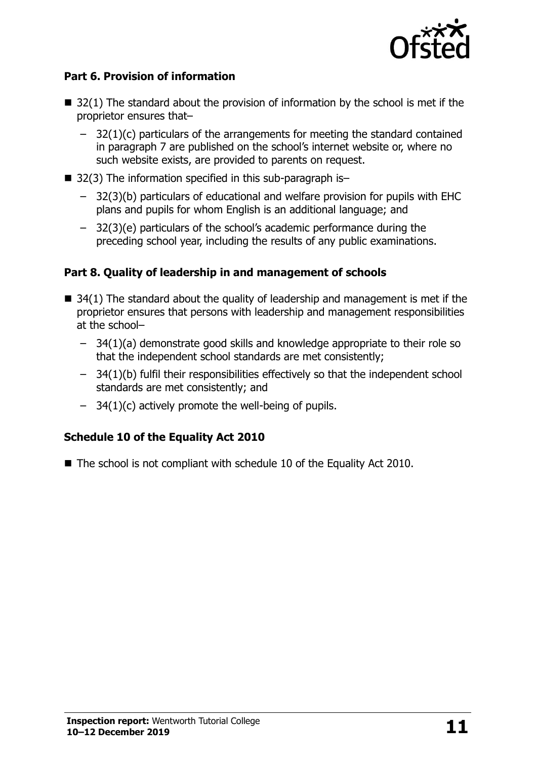

## **Part 6. Provision of information**

- $\blacksquare$  32(1) The standard about the provision of information by the school is met if the proprietor ensures that–
	- $-$  32(1)(c) particulars of the arrangements for meeting the standard contained in paragraph 7 are published on the school's internet website or, where no such website exists, are provided to parents on request.
- $\blacksquare$  32(3) The information specified in this sub-paragraph is-
	- 32(3)(b) particulars of educational and welfare provision for pupils with EHC plans and pupils for whom English is an additional language; and
	- 32(3)(e) particulars of the school's academic performance during the preceding school year, including the results of any public examinations.

## **Part 8. Quality of leadership in and management of schools**

- $\blacksquare$  34(1) The standard about the quality of leadership and management is met if the proprietor ensures that persons with leadership and management responsibilities at the school–
	- 34(1)(a) demonstrate good skills and knowledge appropriate to their role so that the independent school standards are met consistently;
	- 34(1)(b) fulfil their responsibilities effectively so that the independent school standards are met consistently; and
	- $-$  34(1)(c) actively promote the well-being of pupils.

## **Schedule 10 of the Equality Act 2010**

■ The school is not compliant with schedule 10 of the Equality Act 2010.